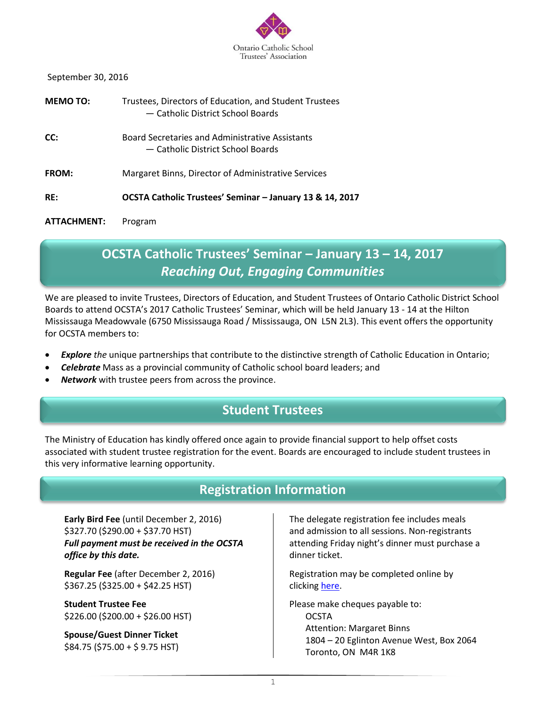

September 30, 2016

| MEMO TO:     | Trustees, Directors of Education, and Student Trustees<br>- Catholic District School Boards |
|--------------|---------------------------------------------------------------------------------------------|
| CC:          | Board Secretaries and Administrative Assistants<br>— Catholic District School Boards        |
| <b>FROM:</b> | Margaret Binns, Director of Administrative Services                                         |
| RE:          | OCSTA Catholic Trustees' Seminar - January 13 & 14, 2017                                    |
| ATTACHMENT:  | Program                                                                                     |

# **OCSTA Catholic Trustees' Seminar – January 13 – 14, 2017** *Reaching Out, Engaging Communities*

We are pleased to invite Trustees, Directors of Education, and Student Trustees of Ontario Catholic District School Boards to attend OCSTA's 2017 Catholic Trustees' Seminar, which will be held January 13 - 14 at the Hilton Mississauga Meadowvale (6750 Mississauga Road / Mississauga, ON L5N 2L3). This event offers the opportunity for OCSTA members to:

- *Explore the* unique partnerships that contribute to the distinctive strength of Catholic Education in Ontario;
- *Celebrate* Mass as a provincial community of Catholic school board leaders; and
- *Network* with trustee peers from across the province.

# **Student Trustees**

The Ministry of Education has kindly offered once again to provide financial support to help offset costs associated with student trustee registration for the event. Boards are encouraged to include student trustees in this very informative learning opportunity.

# **Registration Information**

**Early Bird Fee** (until December 2, 2016) \$327.70 (\$290.00 + \$37.70 HST) *Full payment must be received in the OCSTA office by this date.*

**Regular Fee** (after December 2, 2016) \$367.25 (\$325.00 + \$42.25 HST)

**Student Trustee Fee** \$226.00 (\$200.00 + \$26.00 HST)

**Spouse/Guest Dinner Ticket** \$84.75 (\$75.00 + \$ 9.75 HST) The delegate registration fee includes meals and admission to all sessions. Non-registrants attending Friday night's dinner must purchase a dinner ticket.

Registration may be completed online by clicking [here.](http://www.ocsta.on.ca/formidable-forms/2017-ocsta-catholic-trustees-seminar/)

Please make cheques payable to: **OCSTA** Attention: Margaret Binns 1804 – 20 Eglinton Avenue West, Box 2064 Toronto, ON M4R 1K8